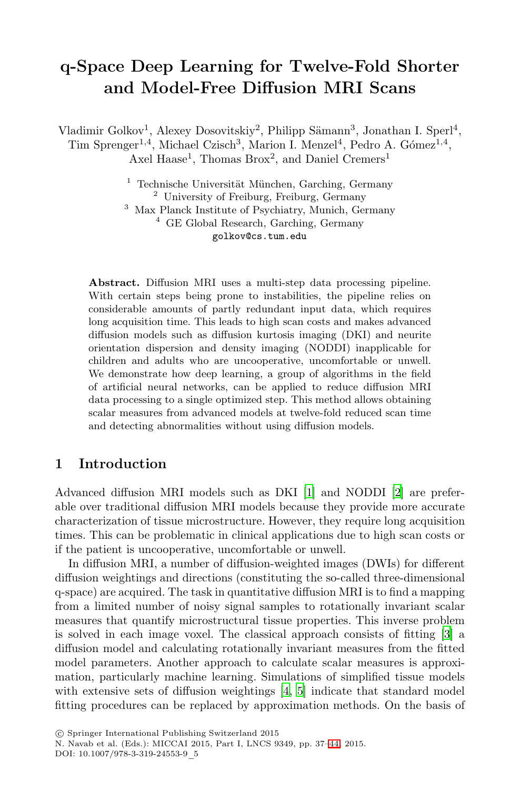# **q-Space Deep Learning for Twelve-Fold Shorter and Model-Free Diffusion MRI Scans**

Vladimir Golkov<sup>1</sup>, Alexey Dosovitskiy<sup>2</sup>, Philipp Sämann<sup>3</sup>, Jonathan I. Sperl<sup>4</sup>, Tim Sprenger<sup>1,4</sup>, Michael Czisch<sup>3</sup>, Marion I. Menzel<sup>4</sup>, Pedro A. Gómez<sup>1,4</sup>, Axel Haase<sup>1</sup>, Thomas Brox<sup>2</sup>, and Daniel Cremers<sup>1</sup>

> Technische Universität München, Garching, Germany University of Freiburg, Freiburg, Germany Max Planck Institute of Psychiatry, Munich, Germany GE Global Research, Garching, Germany golkov@cs.tum.edu

**Abstract.** Diffusion MRI uses a multi-step data processing pipeline. With certain steps being prone to instabilities, the pipeline relies on considerable amounts of partly redundant input data, which requires long acquisition time. This leads to high scan costs and makes advanced diffusion models such as diffusion kurtosis imaging (DKI) and neurite orientation dispersion and density imaging (NODDI) inapplicable for children and adults who are uncooperative, uncomfortable or unwell. We demonstrate how deep learning, a group of algorithms in the field of artificial neural netwo[rk](#page-6-0)s, can be applie[d](#page-6-1) to reduce diffusion MRI data processing to a single optimized step. This method allows obtaining scalar measures from advanced models at twelve-fold reduced scan time and detecting abnormalities without using diffusion models.

### **1 Introduction**

Advanced diffusion MRI models such as DKI [1] and NODDI [2] are preferable over traditional diffusion MRI models because they provide more accurate characterization of tissue microstructure. However, they r[eq](#page-6-2)uire long acquisition times. This can be problematic in clinical applications due to high scan costs or if the patient is uncooperative, uncomfortable or unwell.

In diffusion MRI, a number of diffusion-weighted images (DWIs) for different diffusion weightings and d[ir](#page-6-3)e[ct](#page-6-4)ions (constituting the so-called three-dimensional q-space) are acquired. The task in quantitative diffusion MRI is to find a mapping from a limited number of noisy signal samples to rotationally invariant scalar measures that quantify microstructural tissue properties. This inverse problem is solved in each image voxel. Th[e c](#page-6-5)lassical approach consists of fitting [3] a diffusion model and calculating rotationally invariant measures from the fitted model parameters. Another approach to calculate scalar measures is approximation, particularly machine learning. Simulations of simplified tissue models with extensive sets of diffusion weightings [4, 5] indicate that standard model fitting procedures can be replaced by approximation methods. On the basis of

DOI: 10.1007/978-3-319-24553-9\_5

<sup>-</sup>c Springer International Publishing Switzerland 2015

N. Navab et al. (Eds.): MICCAI 2015, Part I, LNCS 9349, pp. 37–44, 2015.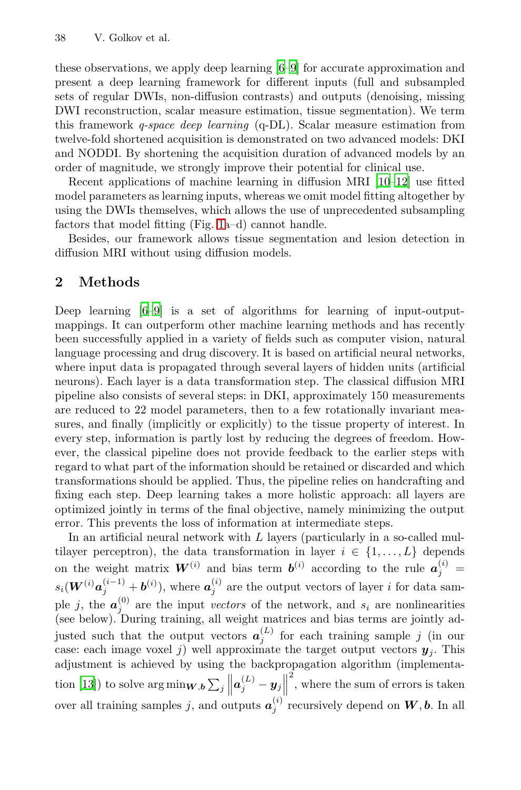#### 38 V. Golkov et al.

these observations, we apply deep learning [[6–9\]](#page-7-0) [for](#page-7-1) accurate approximation and present a deep learning framework for different inputs (full and subsampled sets of regular DWIs, non-diffusion contrasts) and outputs (denoising, missing DWI reconst[ruc](#page-3-0)tion, scalar measure estimation, tissue segmentation). We term this framework *q-space deep learning* (q-DL). Scalar measure estimation from twelve-fold shortened acquisition is demonstrated on two advanced models: DKI and NODDI. By shortening the acquisition duration of advanced models by an order of magnitude, we strongly improve their potential for clinical use.

Recent applications of machine learning in diffusion MRI [10–12] use fitted [mo](#page-7-2)del parameters as learning inputs, whereas we omit model fitting altogether by using the DWIs themselves, which allows the use of unprecedented subsampling factors that model fitting (Fig. 1a–d) cannot handle.

Besides, our framework allows tissue segmentation and lesion detection in diffusion MRI without using diffusion models.

### **2 Methods**

Deep learning [6–9] is a set of algorithms for learning of input-outputmappings. It can outperform other machine learning methods and has recently been successfully applied in a variety of fields such as computer vision, natural language processing and drug discovery. It is based on artificial neural networks, where input data is propagated through several layers of hidden units (artificial neurons). Each layer is a data transformation step. The classical diffusion MRI pipeline also consists of several steps: in DKI, approximately 150 measurements are reduced to 22 model parameters, then to a few rotationally invariant measures, and finally (implicitly or explicitly) to the tissue property of interest. In every step, information is partly lost by reducing the degrees of freedom. However, the classical pipeline does not provide feedback to the earlier steps with regard to what part of the information should be retained or discarded and which transformations should be applied. Thus, the pipeline relies on handcrafting and fixing each step. Deep learning takes a more holistic approach: all layers are optimized jointly in terms of the final objective, namely minimizing the output error. This prevents the loss of information at intermediate steps.

In an artificial neural network with  $L$  layers (particularly in a so-called multilayer perceptron), the data transformation in layer  $i \in \{1, ..., L\}$  depends on the weight matrix  $W^{(i)}$  and bias term  $b^{(i)}$  according to the rule  $a_j^{(i)}$  =  $s_i(\boldsymbol{W}^{(i)}\boldsymbol{a}_j^{(i-1)} + \boldsymbol{b}^{(i)}),$  where  $\boldsymbol{a}_j^{(i)}$  are the output vectors of layer i for data sample j, the  $a_j^{(0)}$  are the input *vectors* of the network, and  $s_i$  are nonlinearities (see below). During training, all weight matrices and bias terms are jointly adjusted such that the output vectors  $a_j^{(L)}$  for each training sample j (in our case: each image voxel j) well approximate the target output vectors  $y_j$ . This adjustment is achieved by using the backpropagation algorithm (implementation [13]) to solve  $\arg \min_{\mathbf{W}, \mathbf{b}} \sum_j \left\| \boldsymbol{a}_j^{(L)} - \boldsymbol{y}_j \right\|$ 2 , where the sum of errors is taken over all training samples *j*, and outputs  $a_j^{(i)}$  recursively depend on  $W$ , *b*. In all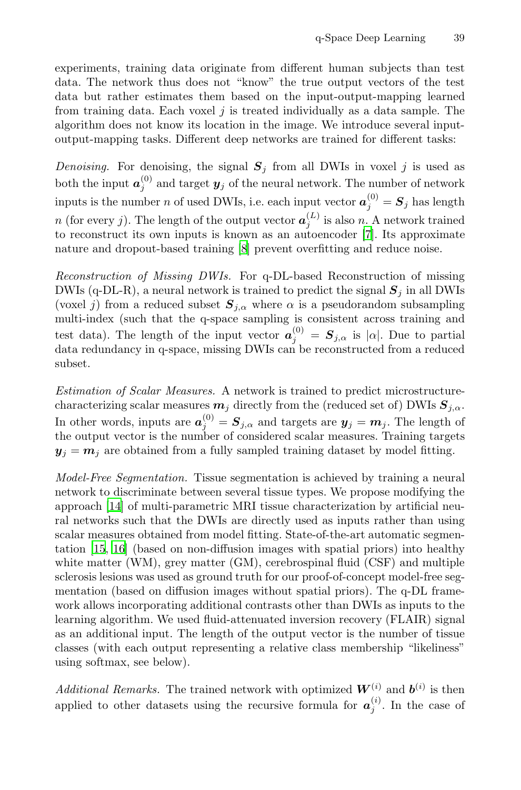experiments, training data originate from different human subjects than test data. The network thus does not "know" the true output vectors of the test data but rather estimates them based on the input-output-mapping learned from training data. Each voxel  $j$  is treated individually as a data sample. The algorithm does not know its location in t[he](#page-6-7) image. We introduce several inputoutput-mapping t[as](#page-7-3)ks. Different deep networks are trained for different tasks:

*Denoising.* For denoising, the signal  $S_j$  from all DWIs in voxel j is used as both the input  $a_j^{(0)}$  and target  $y_j$  of the neural network. The number of network inputs is the number n of used DWIs, i.e. each input vector  $a_j^{(0)} = S_j$  has length n (for every j). The length of the output vector  $a_j^{(L)}$  is also n. A network trained to reconstruct its own inputs is known as an autoencoder [7]. Its approximate nature and dropout-based training [8] prevent overfitting and reduce noise.

*Reconstruction of Missing DWIs.* For q-DL-based Reconstruction of missing DWIs (q-DL-R), a neural network is trained to predict the signal  $S_j$  in all DWIs (voxel j) from a reduced subset  $S_{j,\alpha}$  where  $\alpha$  is a pseudorandom subsampling multi-index (such that the q-space sampling is consistent across training and test data). The length of the input vector  $a_j^{(0)} = S_{j,\alpha}$  is  $|\alpha|$ . Due to partial data redundancy in q-space, missing DWIs can be reconstructed from a reduced subset.

*Estimation of Scalar Measures.* A network is trained to predict microstructurecharacterizing scalar measures  $m_j$  directly from the (reduced set of) DWIs  $S_{j,\alpha}$ . In other words, inputs are  $a_j^{(0)} = S_{j,\alpha}$  and targets are  $y_j = m_j$ . The length of the output vector is the number of considered scalar measures. Training targets  $y_j = m_j$  are obtained from a fully sampled training dataset by model fitting.

*Model-Free Segmentation.* Tissue segmentation is achieved by training a neural network to discriminate between several tissue types. We propose modifying the approach [14] of multi-parametric MRI tissue characterization by artificial neural networks such that the DWIs are directly used as inputs rather than using scalar measures obtained from model fitting. State-of-the-art automatic segmentation [15, 16] (based on non-diffusion images with spatial priors) into healthy white matter (WM), grey matter (GM), cerebrospinal fluid (CSF) and multiple sclerosis lesions was used as ground truth for our proof-of-concept model-free segmentation (based on diffusion images without spatial priors). The q-DL framework allows incorporating additional contrasts other than DWIs as inputs to the learning algorithm. We used fluid-attenuated inversion recovery (FLAIR) signal as an additional input. The length of the output vector is the number of tissue classes (with each output representing a relative class membership "likeliness" using softmax, see below).

*Additional Remarks.* The trained network with optimized  $W^{(i)}$  and  $b^{(i)}$  is then applied to other datasets using the recursive formula for  $a_j^{(i)}$ . In the case of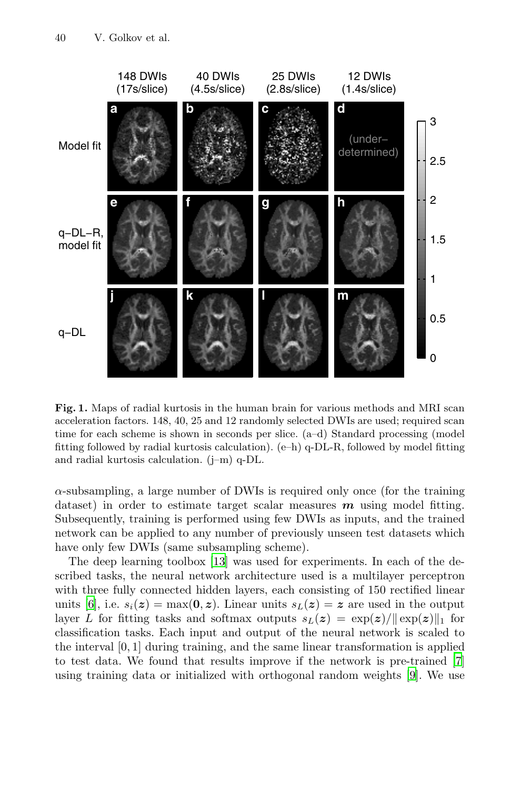#### 40 V. Golkov et al.

<span id="page-3-0"></span>

**Fig. 1.** Maps of radial kurtosis in the human brain for various methods and MRI scan acceleration factors. 148, 40, 25 and 12 randomly selected DWIs are used; required scan time for each scheme is shown in seconds per slice. (a–d) Standard processing (model fitting followe[d b](#page-7-4)y radial kurtosis calculation). (e–h) q-DL-R, followed by model fitting and radial kurtosis calculation. (j–m) q-DL.

 $\alpha$ -subsampling, a large number of DWIs is required only once (for the training dataset) in order to estimate target scalar measures *m* using model fitting. Subsequently, training is performed using few DWIs as inputs, and the trained network can be applied to any number of previously unseen test datasets which have only few DWIs (same subsampling scheme).

The deep learning toolbox [13] was used for ex[pe](#page-7-2)riment[s.](#page-6-7) In each of the described tasks, the neural network architecture used is a multilayer perceptron with three fully connected hidden layers, each consisting of 150 rectified linear units [6], i.e.  $s_i(z) = \max(0, z)$ . Linear units  $s_L(z) = z$  are used in the output layer L for fitting tasks and softmax outputs  $s_L(z) = \exp(z)/||\exp(z)||_1$  for classification tasks. Each input and output of the neural network is scaled to the interval [0, 1] during training, and the same linear transformation is applied to test data. We found that results improve if the network is pre-trained [7] using training data or initialized with orthogonal random weights [9]. We use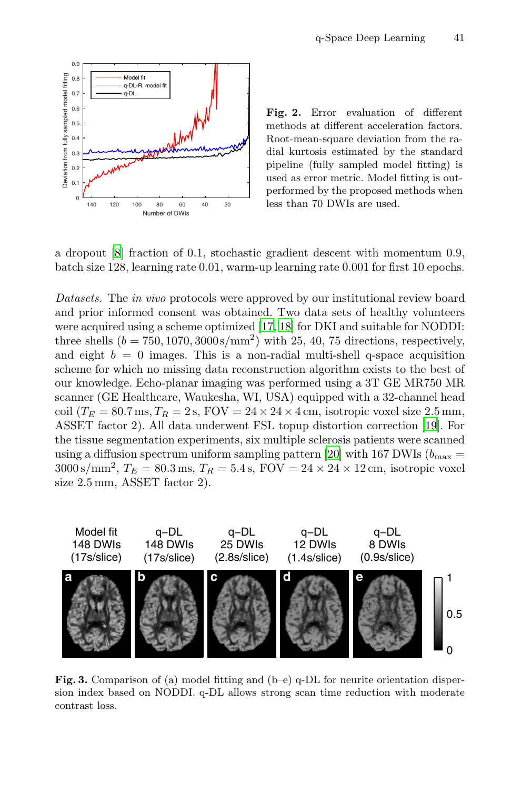

<span id="page-4-0"></span>**Fig. 2.** Error evaluation of different methods at different acceleration factors. Root-mean-square deviation from the radial kurtosis estimated by the standard pipeline (fully sampled model fitting) is used as error metric. Model fitting is outperformed by the proposed methods when less than 70 DWIs are used.

*Datasets.* The *in vivo* protocols were approved by our institutional review board and prior informed consent was obtained. Two data [set](#page-7-7)s of healthy volunteers were acquired using a scheme optimized [17, 18] for DKI and suitable for NODDI: three shells  $(b = 750, 1070, 3000 \text{ s/mm}^2)$  $(b = 750, 1070, 3000 \text{ s/mm}^2)$  $(b = 750, 1070, 3000 \text{ s/mm}^2)$  with 25, 40, 75 directions, respectively, and eight  $b = 0$  images. This is a non-radial multi-shell q-space acquisition scheme for which no missing data reconstruction algorithm exists to the best of our knowledge. Echo-planar imaging was performed using a 3T GE MR750 MR scanner (GE Healthcare, Waukesha, WI, USA) equipped with a 32-channel head coil ( $T_E = 80.7$  ms,  $T_R = 2$  s,  $FOV = 24 \times 24 \times 4$  cm, isotropic voxel size 2.5 mm, ASSET factor 2). All data underwent FSL topup distortion correction [19]. For the tissue segmentation experiments, six multiple sclerosis patients were scanned using a diffusion spectrum uniform sampling pattern [20] with 167 DWIs ( $b_{\text{max}} =$  $3000 \text{ s/mm}^2$ ,  $T_E = 80.3 \text{ ms}$ ,  $T_R = 5.4 \text{ s}$ ,  $\text{FOV} = 24 \times 24 \times 12 \text{ cm}$ , isotropic voxel size 2.5 mm, ASSET factor 2).



**Fig. 3.** Comparison of (a) model fitting and (b–e) q-DL for neurite orientation dispersion index based on NODDI. q-DL allows strong scan time reduction with moderate contrast loss.

a dropout [8] fraction of 0.1, stochastic gradient descent with momentum 0.9, batch size 128, learning rate 0.01, warm-up learning rate 0.001 for first 10 epochs.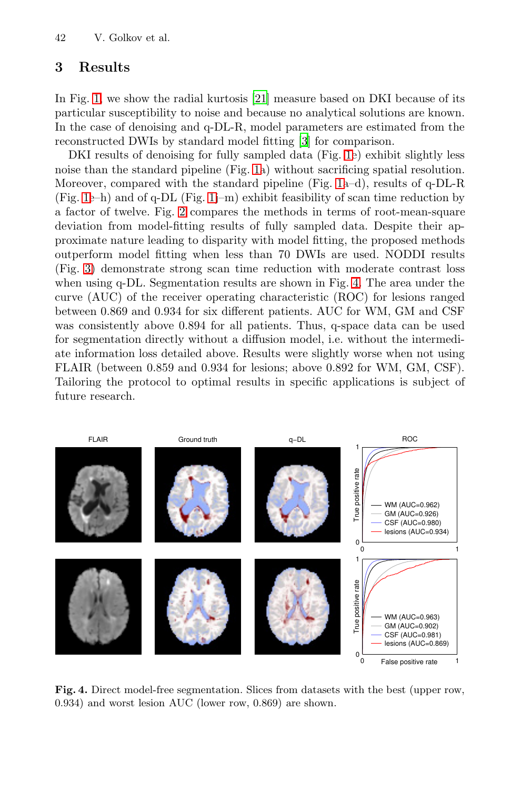42 V. Golkov et al.

# **3 Results**

In Fi[g.](#page-4-0) 1, [we](#page-3-0) show the radial kurtosis [21] measure based on DKI because of its particular susceptibility to noise and because no analytical solutions are known. In the case of denoising and q-DL-R, model parameters are estimated from the reconstructed DWIs by standard model fitting [3] for comparison.

DKI results of denoising for fully sampled data (Fig. 1e) exhibit slightly less noise than the standard pipeline (Fig. [1a\)](#page-5-0) without sacrificing spatial resolution. Moreover, compared with the standard pipeline (Fig. 1a–d), results of q-DL-R (Fig. 1e–h) and of q-DL (Fig. 1j–m) exhibit feasibility of scan time reduction by a factor of twelve. Fig. 2 compares the methods in terms of root-mean-square deviation from model-fitting results of fully sampled data. Despite their approximate nature leading to disparity with model fitting, the proposed methods outperform model fitting when less than 70 DWIs are used. NODDI results (Fig. 3) demonstrate strong scan time reduction with moderate contrast loss when using q-DL. Segmentation results are shown in Fig. 4. The area under the curve (AUC) of the receiver operating characteristic (ROC) for lesions ranged between 0.869 and 0.934 for six different patients. AUC for WM, GM and CSF was consistently above 0.894 for all patients. Thus, q-space data can be used for segmentation directly without a diffusion model, i.e. without the intermediate information loss detailed above. Results were slightly worse when not using FLAIR (between 0.859 and 0.934 for lesions; above 0.892 for WM, GM, CSF). Tailoring the protocol to optimal results in specific applications is subject of future research.

<span id="page-5-0"></span>

**Fig. 4.** Direct model-free segmentation. Slices from datasets with the best (upper row, 0*.*934) and worst lesion AUC (lower row, 0*.*869) are shown.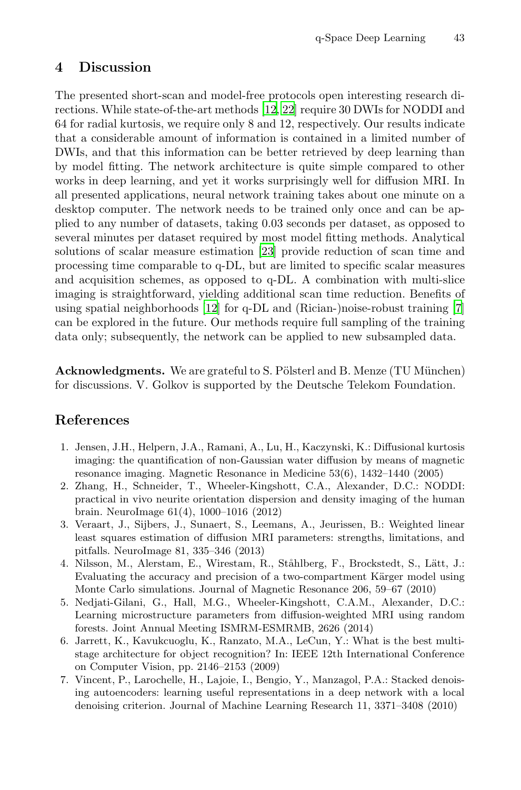### **4 Discussion**

<span id="page-6-5"></span>The presented short-scan and model-free protocols open interesting research directions. While state-of-the-art methods [12, 22] require 30 DWIs for NODDI and 64 for radial kurtosis, we require only 8 and 12, respectively. Our results indicate that a considerable a[mou](#page-7-9)nt of information is contained in a limited number of DWIs, and that this information can be better retrieved by deep learning than by model fitting. The network architecture is quite simple compared to other works in deep learning, and yet it works surprisingly well for diffusion MRI. In all present[ed a](#page-7-1)pplications, neural network training takes ab[ou](#page-6-7)t one minute on a desktop computer. The network needs to be trained only once and can be applied to any number of datasets, taking 0.03 seconds per dataset, as opposed to several minutes per dataset required by most model fitting methods. Analytical solutions of scalar measure estimation [23] provide reduction of scan time and processing time comparable to q-DL, but are limited to specific scalar measures and acquisition schemes, as opposed to q-DL. A combination with multi-slice imaging is straightforward, yielding additional scan time reduction. Benefits of using spatial neighborhoods [12] for q-DL and (Rician-)noise-robust training [7] can be explored in the future. Our methods require full sampling of the training data only; subsequently, the network can be applied to new subsampled data.

<span id="page-6-4"></span><span id="page-6-3"></span><span id="page-6-2"></span><span id="page-6-1"></span><span id="page-6-0"></span>**Acknowledgments.** We are grateful to S. Pölsterl and B. Menze (TU München) for discussions. V. Golkov is supported by the Deutsche Telekom Foundation.

## **References**

- <span id="page-6-6"></span>1. Jensen, J.H., Helpern, J.A., Ramani, A., Lu, H., Kaczynski, K.: Diffusional kurtosis imaging: the quantification of non-Gaussian water diffusion by means of magnetic resonance imaging. Magnetic Resonance in Medicine 53(6), 1432–1440 (2005)
- <span id="page-6-7"></span>2. Zhang, H., Schneider, T., Wheeler-Kingshott, C.A., Alexander, D.C.: NODDI: practical in vivo neurite orientation dispersion and density imaging of the human brain. NeuroImage 61(4), 1000–1016 (2012)
- 3. Veraart, J., Sijbers, J., Sunaert, S., Leemans, A., Jeurissen, B.: Weighted linear least squares estimation of diffusion MRI parameters: strengths, limitations, and pitfalls. NeuroImage 81, 335–346 (2013)
- 4. Nilsson, M., Alerstam, E., Wirestam, R., Ståhlberg, F., Brockstedt, S., Lätt, J.: Evaluating the accuracy and precision of a two-compartment Kärger model using Monte Carlo simulations. Journal of Magnetic Resonance 206, 59–67 (2010)
- 5. Nedjati-Gilani, G., Hall, M.G., Wheeler-Kingshott, C.A.M., Alexander, D.C.: Learning microstructure parameters from diffusion-weighted MRI using random forests. Joint Annual Meeting ISMRM-ESMRMB, 2626 (2014)
- 6. Jarrett, K., Kavukcuoglu, K., Ranzato, M.A., LeCun, Y.: What is the best multistage architecture for object recognition? In: IEEE 12th International Conference on Computer Vision, pp. 2146–2153 (2009)
- 7. Vincent, P., Larochelle, H., Lajoie, I., Bengio, Y., Manzagol, P.A.: Stacked denoising autoencoders: learning useful representations in a deep network with a local denoising criterion. Journal of Machine Learning Research 11, 3371–3408 (2010)